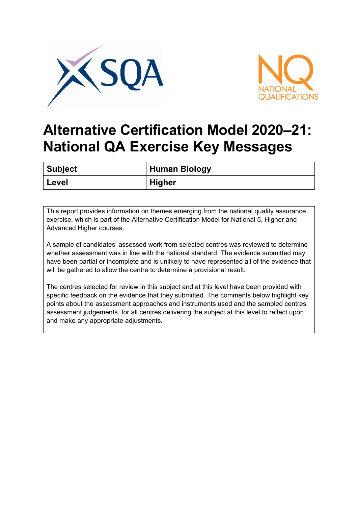



## **Alternative Certification Model 2020–21: National QA Exercise Key Messages**

| <b>Subject</b> | <b>Human Biology</b> |
|----------------|----------------------|
| Level          | <b>Higher</b>        |

This report provides information on themes emerging from the national quality assurance exercise, which is part of the Alternative Certification Model for National 5, Higher and Advanced Higher courses.

A sample of candidates' assessed work from selected centres was reviewed to determine whether assessment was in line with the national standard. The evidence submitted may have been partial or incomplete and is unlikely to have represented all of the evidence that will be gathered to allow the centre to determine a provisional result.

The centres selected for review in this subject and at this level have been provided with specific feedback on the evidence that they submitted. The comments below highlight key points about the assessment approaches and instruments used and the sampled centres' assessment judgements, for all centres delivering the subject at this level to reflect upon and make any appropriate adjustments.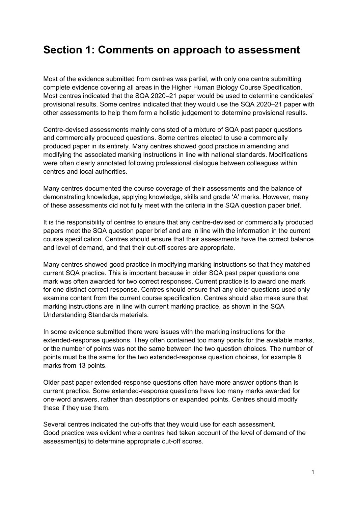## **Section 1: Comments on approach to assessment**

Most of the evidence submitted from centres was partial, with only one centre submitting complete evidence covering all areas in the Higher Human Biology Course Specification. Most centres indicated that the SQA 2020–21 paper would be used to determine candidates' provisional results. Some centres indicated that they would use the SQA 2020–21 paper with other assessments to help them form a holistic judgement to determine provisional results.

Centre-devised assessments mainly consisted of a mixture of SQA past paper questions and commercially produced questions. Some centres elected to use a commercially produced paper in its entirety. Many centres showed good practice in amending and modifying the associated marking instructions in line with national standards. Modifications were often clearly annotated following professional dialogue between colleagues within centres and local authorities.

Many centres documented the course coverage of their assessments and the balance of demonstrating knowledge, applying knowledge, skills and grade 'A' marks. However, many of these assessments did not fully meet with the criteria in the SQA question paper brief.

It is the responsibility of centres to ensure that any centre-devised or commercially produced papers meet the SQA question paper brief and are in line with the information in the current course specification. Centres should ensure that their assessments have the correct balance and level of demand, and that their cut-off scores are appropriate.

Many centres showed good practice in modifying marking instructions so that they matched current SQA practice. This is important because in older SQA past paper questions one mark was often awarded for two correct responses. Current practice is to award one mark for one distinct correct response. Centres should ensure that any older questions used only examine content from the current course specification. Centres should also make sure that marking instructions are in line with current marking practice, as shown in the SQA Understanding Standards materials.

In some evidence submitted there were issues with the marking instructions for the extended-response questions. They often contained too many points for the available marks, or the number of points was not the same between the two question choices. The number of points must be the same for the two extended-response question choices, for example 8 marks from 13 points.

Older past paper extended-response questions often have more answer options than is current practice. Some extended-response questions have too many marks awarded for one-word answers, rather than descriptions or expanded points. Centres should modify these if they use them.

Several centres indicated the cut-offs that they would use for each assessment. Good practice was evident where centres had taken account of the level of demand of the assessment(s) to determine appropriate cut-off scores.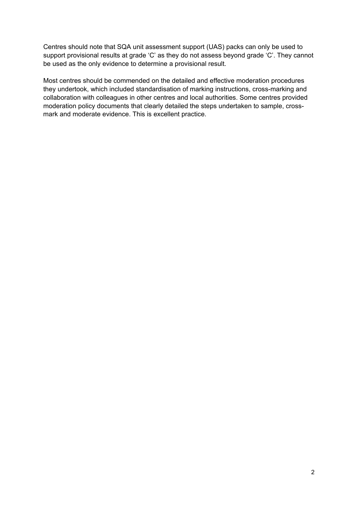Centres should note that SQA unit assessment support (UAS) packs can only be used to support provisional results at grade 'C' as they do not assess beyond grade 'C'. They cannot be used as the only evidence to determine a provisional result.

Most centres should be commended on the detailed and effective moderation procedures they undertook, which included standardisation of marking instructions, cross-marking and collaboration with colleagues in other centres and local authorities. Some centres provided moderation policy documents that clearly detailed the steps undertaken to sample, crossmark and moderate evidence. This is excellent practice.